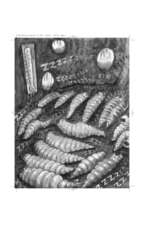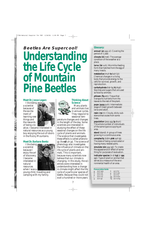# **Beetles Are Supercool! Understanding the Life Cycle of Mountain Pine Beetles**

#### **Meet Dr. Jesse Logan:**

I like being a scientist because of the excitement of learning new things and the rewards of being cre-



ative. I became interested in natural resources as a young boy enjoying the out-of-doors in the Rocky Mountains.

#### **Meet Dr. Barbara Bentz:**

I like being a scientist because I enjoy the art of discovery. I became interested in natural resources when I was a



young child, traveling and camping with my family.



# **Thinking About Science**

Many plants and animals live in *annual* cycles. They respond to seasonal tem-

perature changes and changes in the length of the day. Some scientists are interested in studying the effect of these seasonal changes on the life cycle of plants and animals. The science that investigates these effects is called *phenology* (fe **näl** uh je). The science of phenology also investigates the influence of *climate* on the life cycle of plants and animals. This is important, because many scientists now believe that our climate is changing. In this study, the scientists were interested in understanding how a change in climate might affect the life cycle of a particular species of beetle. Because they could not wait a hundred or more years

## **Glossary:**

*annual* (**an** yoo ul): Covering the period of 1 year.

*climate* (**kli** met): The average condition of the weather at a place.

*larva* (**lär** vuh): Wormlike feeding form that hatches from the egg of many insects.

*metabolize* (muh **ta** buh liz): Chemical changes in a living body that provide energy to the cells for survival, growth, and reproduction.

*carbohydrate* (kär bo hi drat): Starches and sugars that are used as food by animals.

*phloem* (**flo** em): Tissue that transports nutrients from the leaves to the rest of the plant.

*pupa* (**pyoo** puh): Intermediate stage of insect growth between larva and adult.

*resin* (**rez** in): Cloudy, sticky substance that oozes from some trees.

*population* (pop yoo **la** shun): The whole number of individuals of the same type occupying an area.

*stand* (stand): A group of trees growing in a continuous area.

*complexity* (kälm **plek** suh te): The state of being complicated or having many related parts.

*simulate* (**sim** yoo lat): To create the appearance or effect of something for purposes of evaluation.

*indicator species* (in di **kat** ür **spe** sez): Type of plant or animal that serves as a measure of the environmental health of an area.

#### **Pronunciation Guide**

| as in for<br>as in ape<br>ô<br>a          |  |
|-------------------------------------------|--|
| as in car<br>ä<br>as in use               |  |
| as in fur<br>as in me<br>ü<br>e           |  |
| as in tool<br>as in ice<br>0 <sub>0</sub> |  |
| ng as in sing<br>as in go<br>$\mathbf{O}$ |  |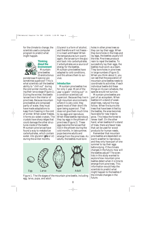for the climate to change, the scientists used a computer program to predict what might happen.



**Thinking About the Environment** Mountain pine beetles

*(Dendroctonus ponderosae Hopkins)* are sometimes supercool! This is what scientists call the beetles' ability to "chill out" during the cold winter months, during their *larva* stage (Figure 1). During the winter, the beetle larvae live in the interior of pine trees. Because mountain pine beetles are composed partly of water, they must have made adaptations to keep from freezing in the cold of winter. When water freezes, it forms six-sided crystals. The crystals have sharp edges that could damage the other structures inside of the beetle. Mountain pine larvae have found a way to *metabolize carbohydrates,* which contain water, into glycerol (**glis** ür ol) during the winter months.

Glycerol is a form of alcohol, and therefore will not freeze – it is insect antifreeze! When the temperatures turn warm again, the larvae turn the glycerol back into carbohydrates. Carbohydrates are a source of energy for the beetles. Mountain pine beetles have adapted to cold conditions, and this allows them to survive.

#### **Introduction**

Mountain pine beetles live for only 1 year. Most of the year is spent "chilling out" in a condition scientists call supercool. Because they live in high mountain environments where it is very cold, they spend most of their short life span being supercool. That does not give them much time to lay eggs and reproduce. When these beetles reproduce, they lay eggs in the *phloem* of pine trees (Figure 2). These eggs become the larvae that live in the phloem during the cold months. In late summer, *pupa* become adults and emerge from the pine trees. As adults, the beetles must bore



*Figure 1. The life stages of the mountain pine beetle, including egg, larva, pupa, and adult.*

holes in other pines trees so they can lay their eggs. When they bore holes in the trees and lay eggs, the beetles usually kill the tree. Pine trees produce *resin* to repel the beetles. To successfully lay their eggs, the beetles must work as a team. They bore holes in pine trees in large numbers (Figure 3). When you think about it, you can see that the *population* of mountain pine beetles needs to coordinate its activities. If each individual beetle did these things on its own schedule, the species would not survive.

Mountain pine beetles are part of an ecosystem. When beetles kill a *stand* of weakened trees, natural fire may follow. When fire burns the trees that have been killed by the beetles, the area becomes favorable for new trees to grow. This helps the forest to renew itself. On the other hand, when beetles kill a stand of trees, there are fewer trees that can be used for wood products for human needs.

Remember that mountain pine beetles are dependent on warm weather to reproduce, and they only have part of one summer to lay their eggs before dying. If the climate changes in the future, how will the beetles adjust? The scientists in this study wanted to explore how mountain pine beetles detect when it is time to emerge from pine trees. This information would help the scientists to predict what might happen to the beetles if the climate changes in the future.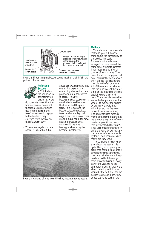

*Figure 2. Mountain pine beetles spend much of their life in the phloem of pine trees.*



#### **Reflection Section**

• Think about the variation in springtime temperatures. How

do scientists know that the first very warm day is not the signal used by the beetles to emerge from the trees? What would happen to the beetles if they emerged from the tree on the first warm day?

• When an ecosystem is balanced, it is healthy. A bal-

anced ecosystem means that everything depends on everything else, and no one plant or animal takes over the rest. The pine beetle/pine tree ecosystem is usually balanced between the beetles and the pine trees. This is because the beetles select the weakest trees in which to lay their eggs. Then, the weaker trees die and make room for new, healthier trees. In what ways could the pine beetle/pine tree ecosystem become unbalanced?



*Figure 3. A stand of pine trees killed by mountain pine beetles.*

#### **Methods**

To understand the scientists' methods, you will have to think about the *complexity* of the beetles' life cycle. Thousands of adults must emerge from pine trees at the same time in the late summer. They must emerge after all danger of frost is gone. They cannot wait too long past that date, because they only have a short time to lay eggs before they die in the fall or winter. All of them must bore holes into the pine trees at the same time, or the pine trees will successfully repel them with resin. The scientists needed to know the temperature for the whole life cycle of the beetles (How many days is that? – Hint: Re-read the first sentence of the Introduction.) The scientists used measurements of the temperature that were made every hour of every day for a year. (How many measurements did they use?) They used measurements for 4 different years. (Now multiply the number of measurements by four – how many measurements did they use?)

The scientists already knew a lot about the beetles' life cycle. Using a computer program that contained all of the temperature measurements, they guessed what would happen to a beetle if it emerged from a tree's interior on every day of the year. Using the computer program, they were able to identify which days would be the best ones for the beetles to emerge. Then, they added 2.5 °C to each of the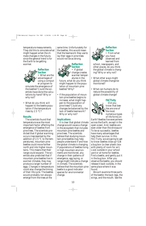temperature measurements. They did this to *simulate* what might happen when the climate changes in the future, since the general trend is for the Earth to be getting warmer.



#### **Reflection Section**

• What are the advantages of using a computer program to

simulate the emergence of the beetles? Could the scientists have done the calculations by hand? Why or why not?

• What do you think will happen to the beetle population if the temperature rises by 2.5  $^{\circ}$ C?

#### **Results**

The scientists found that temperature was the most important factor affecting the emergence of beetles from pine trees. The scientists predicted that if global warming occurs (represented by the addition of 2.5 °C to the temperatures), mountain pine beetles could move farther north and into higher mountains. This means that their range could expand. The scientists also predicted that if mountain pine beetles live in warmer climates, they may produce a larger number of eggs. Changes in temperature could also change the timing of their life cycle. The beetles would probably not always emerge from the trees at the

same time. Unfortunately for the beetles, this would mean that the teamwork they use to lay their eggs in pine trees would not be as strong.

#### **Reflection Section**



• If global change creates warmer temperatures in the

future, what do you think might happen to the population of mountain pine beetles? Why?

• If the population of mountain pine beetles begins to increase, what might happen to the population of pine trees? Could any changes be balanced by the lack of beetle teamwork? Why or why not?

# **Implications**

It is clear that global climate change would cause a change in the ecosystem that includes mountain pine beetles and pine trees. The scientists believe that studying mountain pine beetles may help people understand if and how the global climate is changing. If populations of beetles living in high mountain environments are monitored, any change in their patterns of emergence, egg laying, or range might indicate a change in climate. The scientists believe that the mountain pine beetle is a good *indicator species* for environmental change.



#### **Reflection Section**

• From what you have observed and learned from

school, newspapers, and other places, do you think the global climate is changing? Why or why not?

- What other ways might global climate change be monitored?
- What can humans do to reduce the possibility of global climate change?

## **FACTivity**



Did you know that beetles are one of the most numerous types of life forms on

Earth? Beetles live everywhere across the Earth, except in the open ocean. And, beetles are even older than the dinosaurs! To be so successful, beetles have many advantages that help them survive. In this FACTivity, we are going to get to know beetles close up! Get a bug box (a clear plastic box with plenty of room for air). Look outside in your school yard or at home for beetles. Find a beetle, and gently put it in the bug box. After you observe the beetle, you should release it back outside, in the same place where it was found.

We will examine three parts of the beetle: the back legs, the wings, and the mouth. See the